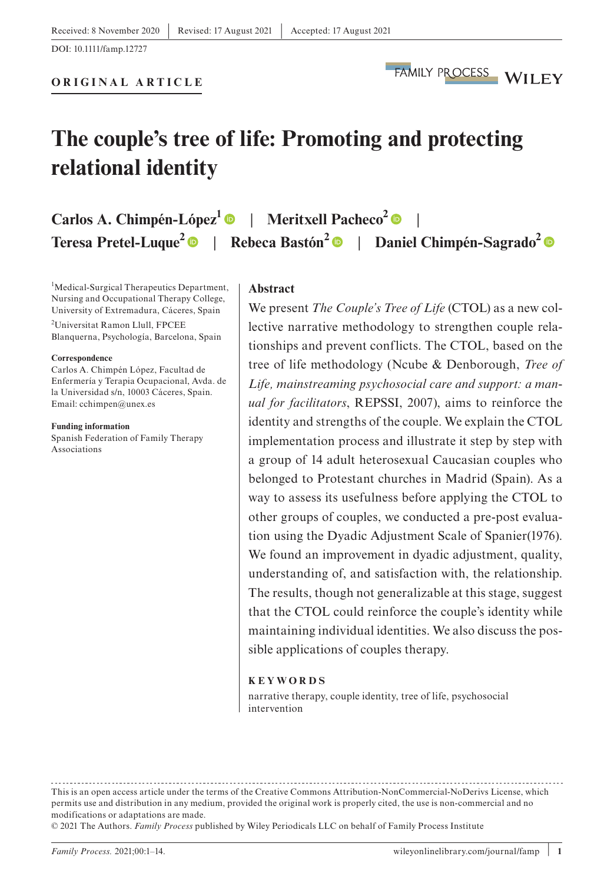**ORIGINAL ARTICLE**

# **The couple's tree of life: Promoting and protecting relational identity**

| Carlos A. Chimpén-López <sup>1</sup> $\bullet$   Meritxell Pacheco <sup>2</sup> $\bullet$ |  |                                                                                                           |
|-------------------------------------------------------------------------------------------|--|-----------------------------------------------------------------------------------------------------------|
|                                                                                           |  | Teresa Pretel-Luque <sup>2</sup> ●   Rebeca Bastón <sup>2</sup> ●   Daniel Chimpén-Sagrado <sup>2</sup> ● |

<sup>1</sup>Medical-Surgical Therapeutics Department, Nursing and Occupational Therapy College, University of Extremadura, Cáceres, Spain

2 Universitat Ramon Llull, FPCEE Blanquerna, Psychología, Barcelona, Spain

#### **Correspondence**

Carlos A. Chimpén López, Facultad de Enfermería y Terapia Ocupacional, Avda. de la Universidad s/n, 10003 Cáceres, Spain. Email: [cchimpen@unex.es](mailto:cchimpen@unex.es)

**Funding information**

Spanish Federation of Family Therapy Associations

#### **Abstract**

We present *The Couple's Tree of Life* (CTOL) as a new collective narrative methodology to strengthen couple relationships and prevent conflicts. The CTOL, based on the tree of life methodology (Ncube & Denborough, *Tree of Life, mainstreaming psychosocial care and support: a manual for facilitators*, REPSSI, 2007), aims to reinforce the identity and strengths of the couple. We explain the CTOL implementation process and illustrate it step by step with a group of 14 adult heterosexual Caucasian couples who belonged to Protestant churches in Madrid (Spain). As a way to assess its usefulness before applying the CTOL to other groups of couples, we conducted a pre-post evaluation using the Dyadic Adjustment Scale of Spanier(1976). We found an improvement in dyadic adjustment, quality, understanding of, and satisfaction with, the relationship. The results, though not generalizable at this stage, suggest that the CTOL could reinforce the couple's identity while maintaining individual identities. We also discuss the possible applications of couples therapy.

#### **KEYWORDS**

narrative therapy, couple identity, tree of life, psychosocial intervention

This is an open access article under the terms of the [Creative Commons Attribution-NonCommercial-NoDerivs](http://creativecommons.org/licenses/by-nc-nd/4.0/) License, which permits use and distribution in any medium, provided the original work is properly cited, the use is non-commercial and no modifications or adaptations are made.

<sup>© 2021</sup> The Authors. *Family Process* published by Wiley Periodicals LLC on behalf of Family Process Institute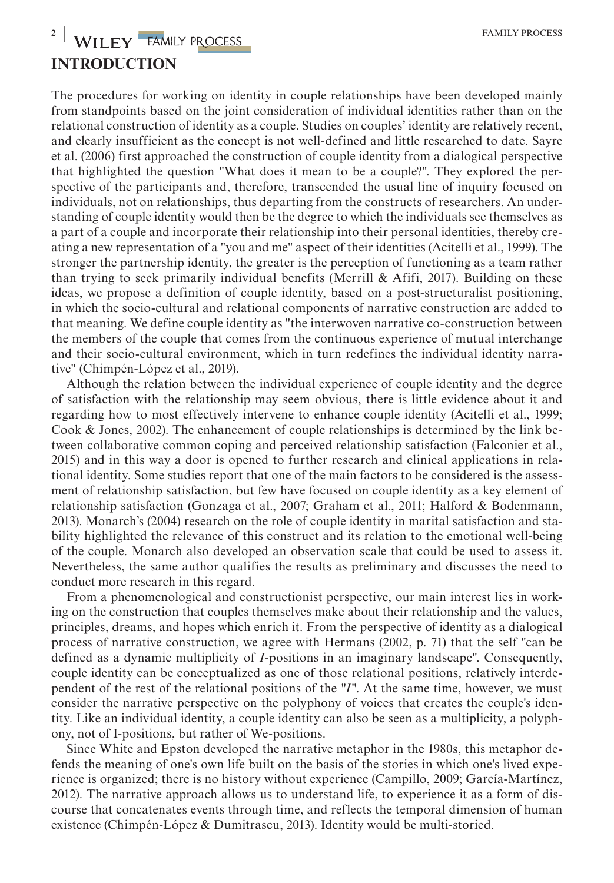## **INTRODUCTION**

The procedures for working on identity in couple relationships have been developed mainly from standpoints based on the joint consideration of individual identities rather than on the relational construction of identity as a couple. Studies on couples' identity are relatively recent, and clearly insufficient as the concept is not well-defined and little researched to date. Sayre et al. (2006) first approached the construction of couple identity from a dialogical perspective that highlighted the question "What does it mean to be a couple?". They explored the perspective of the participants and, therefore, transcended the usual line of inquiry focused on individuals, not on relationships, thus departing from the constructs of researchers. An understanding of couple identity would then be the degree to which the individuals see themselves as a part of a couple and incorporate their relationship into their personal identities, thereby creating a new representation of a "you and me" aspect of their identities (Acitelli et al., 1999). The stronger the partnership identity, the greater is the perception of functioning as a team rather than trying to seek primarily individual benefits (Merrill  $\&$  Afifi, 2017). Building on these ideas, we propose a definition of couple identity, based on a post-structuralist positioning, in which the socio-cultural and relational components of narrative construction are added to that meaning. We define couple identity as "the interwoven narrative co-construction between the members of the couple that comes from the continuous experience of mutual interchange and their socio-cultural environment, which in turn redefines the individual identity narrative" (Chimpén-López et al., 2019).

Although the relation between the individual experience of couple identity and the degree of satisfaction with the relationship may seem obvious, there is little evidence about it and regarding how to most effectively intervene to enhance couple identity (Acitelli et al., 1999; Cook & Jones, 2002). The enhancement of couple relationships is determined by the link between collaborative common coping and perceived relationship satisfaction (Falconier et al., 2015) and in this way a door is opened to further research and clinical applications in relational identity. Some studies report that one of the main factors to be considered is the assessment of relationship satisfaction, but few have focused on couple identity as a key element of relationship satisfaction (Gonzaga et al., 2007; Graham et al., 2011; Halford & Bodenmann, 2013). Monarch's (2004) research on the role of couple identity in marital satisfaction and stability highlighted the relevance of this construct and its relation to the emotional well-being of the couple. Monarch also developed an observation scale that could be used to assess it. Nevertheless, the same author qualifies the results as preliminary and discusses the need to conduct more research in this regard.

From a phenomenological and constructionist perspective, our main interest lies in working on the construction that couples themselves make about their relationship and the values, principles, dreams, and hopes which enrich it. From the perspective of identity as a dialogical process of narrative construction, we agree with Hermans (2002, p. 71) that the self "can be defined as a dynamic multiplicity of *I-*positions in an imaginary landscape". Consequently, couple identity can be conceptualized as one of those relational positions, relatively interdependent of the rest of the relational positions of the *"I"*. At the same time, however, we must consider the narrative perspective on the polyphony of voices that creates the couple's identity. Like an individual identity, a couple identity can also be seen as a multiplicity, a polyphony, not of I-positions, but rather of We-positions.

Since White and Epston developed the narrative metaphor in the 1980s, this metaphor defends the meaning of one's own life built on the basis of the stories in which one's lived experience is organized; there is no history without experience (Campillo, 2009; García-Martínez, 2012). The narrative approach allows us to understand life, to experience it as a form of discourse that concatenates events through time, and reflects the temporal dimension of human existence (Chimpén-López & Dumitrascu, 2013). Identity would be multi-storied.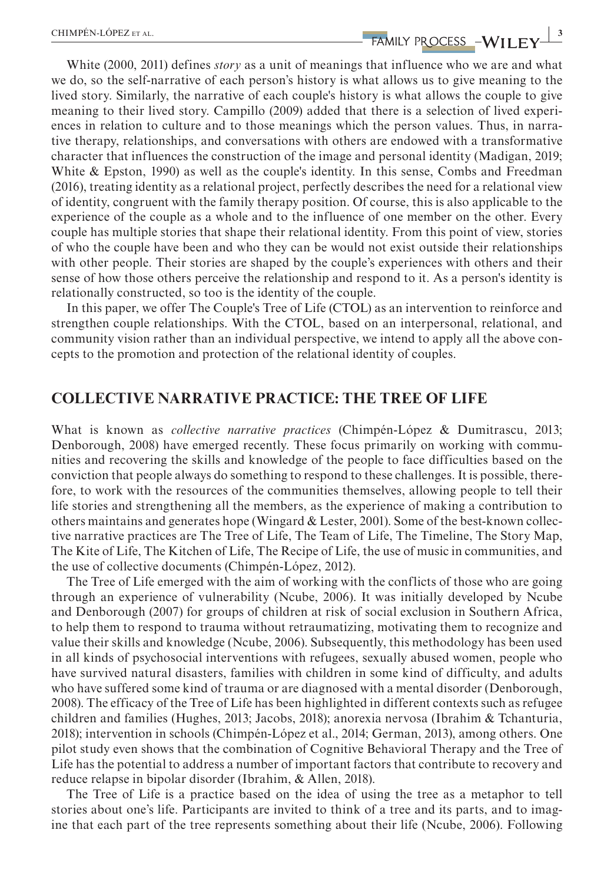**EXECUTED EXECUTED EXECUTED ASSESS** WILL FINE SET AL.

White (2000, 2011) defines *story* as a unit of meanings that influence who we are and what we do, so the self-narrative of each person's history is what allows us to give meaning to the lived story. Similarly, the narrative of each couple's history is what allows the couple to give meaning to their lived story. Campillo (2009) added that there is a selection of lived experiences in relation to culture and to those meanings which the person values. Thus, in narrative therapy, relationships, and conversations with others are endowed with a transformative character that influences the construction of the image and personal identity (Madigan, 2019; White & Epston, 1990) as well as the couple's identity. In this sense, Combs and Freedman (2016), treating identity as a relational project, perfectly describes the need for a relational view of identity, congruent with the family therapy position. Of course, this is also applicable to the experience of the couple as a whole and to the influence of one member on the other. Every couple has multiple stories that shape their relational identity. From this point of view, stories of who the couple have been and who they can be would not exist outside their relationships with other people. Their stories are shaped by the couple's experiences with others and their sense of how those others perceive the relationship and respond to it. As a person's identity is relationally constructed, so too is the identity of the couple.

In this paper, we offer The Couple's Tree of Life (CTOL) as an intervention to reinforce and strengthen couple relationships. With the CTOL, based on an interpersonal, relational, and community vision rather than an individual perspective, we intend to apply all the above concepts to the promotion and protection of the relational identity of couples.

#### **COLLECTIVE NARRATIVE PRACTICE: THE TREE OF LIFE**

What is known as *collective narrative practices* (Chimpén-López & Dumitrascu, 2013; Denborough, 2008) have emerged recently. These focus primarily on working with communities and recovering the skills and knowledge of the people to face difficulties based on the conviction that people always do something to respond to these challenges. It is possible, therefore, to work with the resources of the communities themselves, allowing people to tell their life stories and strengthening all the members, as the experience of making a contribution to others maintains and generates hope (Wingard & Lester, 2001). Some of the best-known collective narrative practices are The Tree of Life, The Team of Life, The Timeline, The Story Map, The Kite of Life, The Kitchen of Life, The Recipe of Life, the use of music in communities, and the use of collective documents (Chimpén-López, 2012).

The Tree of Life emerged with the aim of working with the conflicts of those who are going through an experience of vulnerability (Ncube, 2006). It was initially developed by Ncube and Denborough (2007) for groups of children at risk of social exclusion in Southern Africa, to help them to respond to trauma without retraumatizing, motivating them to recognize and value their skills and knowledge (Ncube, 2006). Subsequently, this methodology has been used in all kinds of psychosocial interventions with refugees, sexually abused women, people who have survived natural disasters, families with children in some kind of difficulty, and adults who have suffered some kind of trauma or are diagnosed with a mental disorder (Denborough, 2008). The efficacy of the Tree of Life has been highlighted in different contexts such as refugee children and families (Hughes, 2013; Jacobs, 2018); anorexia nervosa (Ibrahim & Tchanturia, 2018); intervention in schools (Chimpén-López et al., 2014; German, 2013), among others. One pilot study even shows that the combination of Cognitive Behavioral Therapy and the Tree of Life has the potential to address a number of important factors that contribute to recovery and reduce relapse in bipolar disorder (Ibrahim, & Allen, 2018).

The Tree of Life is a practice based on the idea of using the tree as a metaphor to tell stories about one's life. Participants are invited to think of a tree and its parts, and to imagine that each part of the tree represents something about their life (Ncube, 2006). Following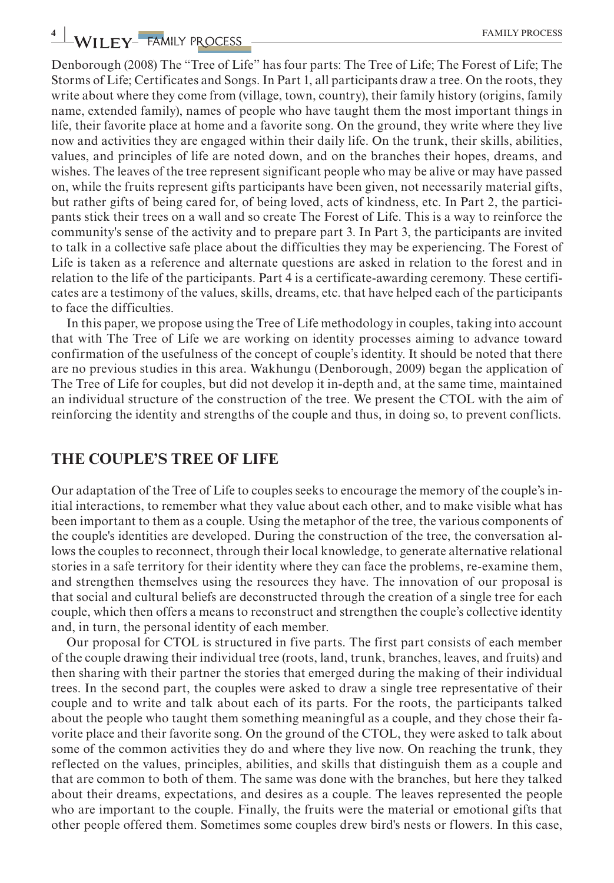# **4** WILEY- FAMILY PROCESS **ACCESS EXAMILY PROCESS**

Denborough (2008) The "Tree of Life" has four parts: The Tree of Life; The Forest of Life; The Storms of Life; Certificates and Songs. In Part 1, all participants draw a tree. On the roots, they write about where they come from (village, town, country), their family history (origins, family name, extended family), names of people who have taught them the most important things in life, their favorite place at home and a favorite song. On the ground, they write where they live now and activities they are engaged within their daily life. On the trunk, their skills, abilities, values, and principles of life are noted down, and on the branches their hopes, dreams, and wishes. The leaves of the tree represent significant people who may be alive or may have passed on, while the fruits represent gifts participants have been given, not necessarily material gifts, but rather gifts of being cared for, of being loved, acts of kindness, etc. In Part 2, the participants stick their trees on a wall and so create The Forest of Life. This is a way to reinforce the community's sense of the activity and to prepare part 3. In Part 3, the participants are invited to talk in a collective safe place about the difficulties they may be experiencing. The Forest of Life is taken as a reference and alternate questions are asked in relation to the forest and in relation to the life of the participants. Part 4 is a certificate-awarding ceremony. These certificates are a testimony of the values, skills, dreams, etc. that have helped each of the participants to face the difficulties.

In this paper, we propose using the Tree of Life methodology in couples, taking into account that with The Tree of Life we are working on identity processes aiming to advance toward confirmation of the usefulness of the concept of couple's identity. It should be noted that there are no previous studies in this area. Wakhungu (Denborough, 2009) began the application of The Tree of Life for couples, but did not develop it in-depth and, at the same time, maintained an individual structure of the construction of the tree. We present the CTOL with the aim of reinforcing the identity and strengths of the couple and thus, in doing so, to prevent conflicts.

### **THE COUPLE'S TREE OF LIFE**

Our adaptation of the Tree of Life to couples seeks to encourage the memory of the couple's initial interactions, to remember what they value about each other, and to make visible what has been important to them as a couple. Using the metaphor of the tree, the various components of the couple's identities are developed. During the construction of the tree, the conversation allows the couples to reconnect, through their local knowledge, to generate alternative relational stories in a safe territory for their identity where they can face the problems, re-examine them, and strengthen themselves using the resources they have. The innovation of our proposal is that social and cultural beliefs are deconstructed through the creation of a single tree for each couple, which then offers a means to reconstruct and strengthen the couple's collective identity and, in turn, the personal identity of each member.

Our proposal for CTOL is structured in five parts. The first part consists of each member of the couple drawing their individual tree (roots, land, trunk, branches, leaves, and fruits) and then sharing with their partner the stories that emerged during the making of their individual trees. In the second part, the couples were asked to draw a single tree representative of their couple and to write and talk about each of its parts. For the roots, the participants talked about the people who taught them something meaningful as a couple, and they chose their favorite place and their favorite song. On the ground of the CTOL, they were asked to talk about some of the common activities they do and where they live now. On reaching the trunk, they reflected on the values, principles, abilities, and skills that distinguish them as a couple and that are common to both of them. The same was done with the branches, but here they talked about their dreams, expectations, and desires as a couple. The leaves represented the people who are important to the couple. Finally, the fruits were the material or emotional gifts that other people offered them. Sometimes some couples drew bird's nests or flowers. In this case,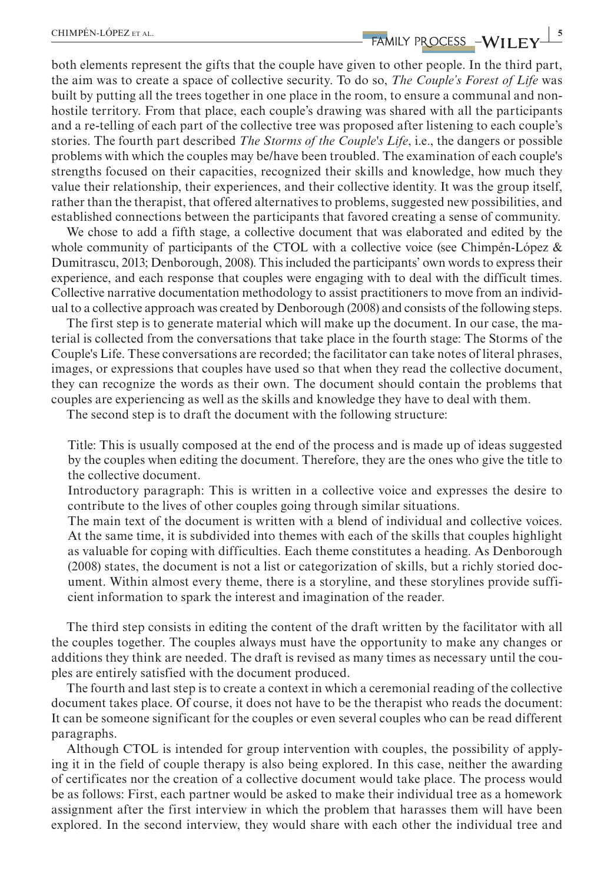# **EHIMPÉN-LÓPEZ** ET AL. **50 AU 2008 CHIMPÉN-LÓPEZ** ET AL.

both elements represent the gifts that the couple have given to other people. In the third part, the aim was to create a space of collective security. To do so, *The Couple's Forest of Life* was built by putting all the trees together in one place in the room, to ensure a communal and nonhostile territory. From that place, each couple's drawing was shared with all the participants and a re-telling of each part of the collective tree was proposed after listening to each couple's stories. The fourth part described *The Storms of the Couple's Life*, i.e., the dangers or possible problems with which the couples may be/have been troubled. The examination of each couple's strengths focused on their capacities, recognized their skills and knowledge, how much they value their relationship, their experiences, and their collective identity. It was the group itself, rather than the therapist, that offered alternatives to problems, suggested new possibilities, and established connections between the participants that favored creating a sense of community.

We chose to add a fifth stage, a collective document that was elaborated and edited by the whole community of participants of the CTOL with a collective voice (see Chimpén-López & Dumitrascu, 2013; Denborough, 2008). This included the participants' own words to express their experience, and each response that couples were engaging with to deal with the difficult times. Collective narrative documentation methodology to assist practitioners to move from an individual to a collective approach was created by Denborough (2008) and consists of the following steps.

The first step is to generate material which will make up the document. In our case, the material is collected from the conversations that take place in the fourth stage: The Storms of the Couple's Life. These conversations are recorded; the facilitator can take notes of literal phrases, images, or expressions that couples have used so that when they read the collective document, they can recognize the words as their own. The document should contain the problems that couples are experiencing as well as the skills and knowledge they have to deal with them.

The second step is to draft the document with the following structure:

Title: This is usually composed at the end of the process and is made up of ideas suggested by the couples when editing the document. Therefore, they are the ones who give the title to the collective document.

Introductory paragraph: This is written in a collective voice and expresses the desire to contribute to the lives of other couples going through similar situations.

The main text of the document is written with a blend of individual and collective voices. At the same time, it is subdivided into themes with each of the skills that couples highlight as valuable for coping with difficulties. Each theme constitutes a heading. As Denborough (2008) states, the document is not a list or categorization of skills, but a richly storied document. Within almost every theme, there is a storyline, and these storylines provide sufficient information to spark the interest and imagination of the reader.

The third step consists in editing the content of the draft written by the facilitator with all the couples together. The couples always must have the opportunity to make any changes or additions they think are needed. The draft is revised as many times as necessary until the couples are entirely satisfied with the document produced.

The fourth and last step is to create a context in which a ceremonial reading of the collective document takes place. Of course, it does not have to be the therapist who reads the document: It can be someone significant for the couples or even several couples who can be read different paragraphs.

Although CTOL is intended for group intervention with couples, the possibility of applying it in the field of couple therapy is also being explored. In this case, neither the awarding of certificates nor the creation of a collective document would take place. The process would be as follows: First, each partner would be asked to make their individual tree as a homework assignment after the first interview in which the problem that harasses them will have been explored. In the second interview, they would share with each other the individual tree and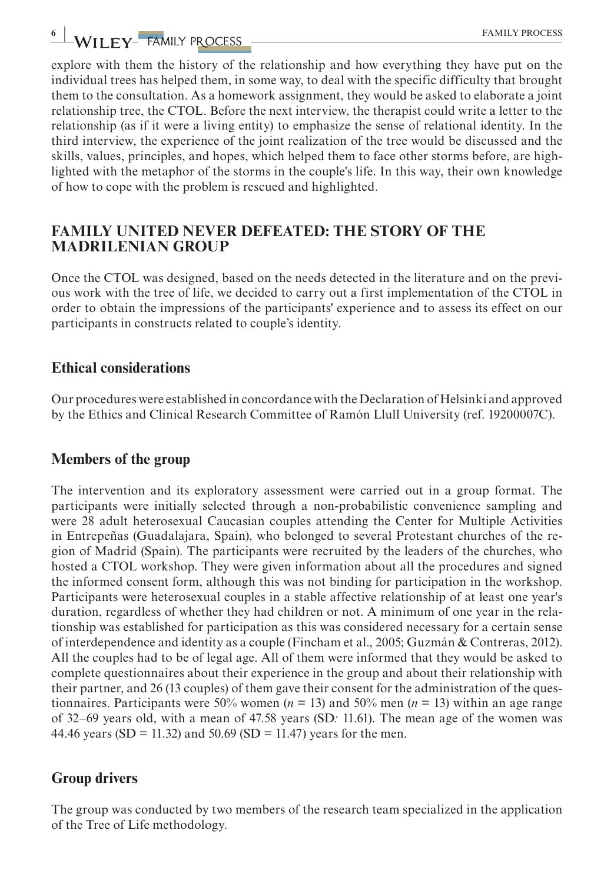explore with them the history of the relationship and how everything they have put on the individual trees has helped them, in some way, to deal with the specific difficulty that brought them to the consultation. As a homework assignment, they would be asked to elaborate a joint relationship tree, the CTOL. Before the next interview, the therapist could write a letter to the relationship (as if it were a living entity) to emphasize the sense of relational identity. In the third interview, the experience of the joint realization of the tree would be discussed and the skills, values, principles, and hopes, which helped them to face other storms before, are highlighted with the metaphor of the storms in the couple's life. In this way, their own knowledge of how to cope with the problem is rescued and highlighted.

## **FAMILY UNITED NEVER DEFEATED: THE STORY OF THE MADRILENIAN GROUP**

Once the CTOL was designed, based on the needs detected in the literature and on the previous work with the tree of life, we decided to carry out a first implementation of the CTOL in order to obtain the impressions of the participants' experience and to assess its effect on our participants in constructs related to couple's identity.

## **Ethical considerations**

Our procedures were established in concordance with the Declaration of Helsinki and approved by the Ethics and Clinical Research Committee of Ramón Llull University (ref. 19200007C).

## **Members of the group**

The intervention and its exploratory assessment were carried out in a group format. The participants were initially selected through a non-probabilistic convenience sampling and were 28 adult heterosexual Caucasian couples attending the Center for Multiple Activities in Entrepeñas (Guadalajara, Spain), who belonged to several Protestant churches of the region of Madrid (Spain). The participants were recruited by the leaders of the churches, who hosted a CTOL workshop. They were given information about all the procedures and signed the informed consent form, although this was not binding for participation in the workshop. Participants were heterosexual couples in a stable affective relationship of at least one year's duration, regardless of whether they had children or not. A minimum of one year in the relationship was established for participation as this was considered necessary for a certain sense of interdependence and identity as a couple (Fincham et al., 2005; Guzmán & Contreras, 2012). All the couples had to be of legal age. All of them were informed that they would be asked to complete questionnaires about their experience in the group and about their relationship with their partner, and 26 (13 couples) of them gave their consent for the administration of the questionnaires. Participants were 50% women (*n* = 13) and 50% men (*n* = 13) within an age range of 32–69 years old, with a mean of 47.58 years (SD*:* 11.61). The mean age of the women was 44.46 years (SD = 11.32) and 50.69 (SD = 11.47) years for the men.

## **Group drivers**

The group was conducted by two members of the research team specialized in the application of the Tree of Life methodology.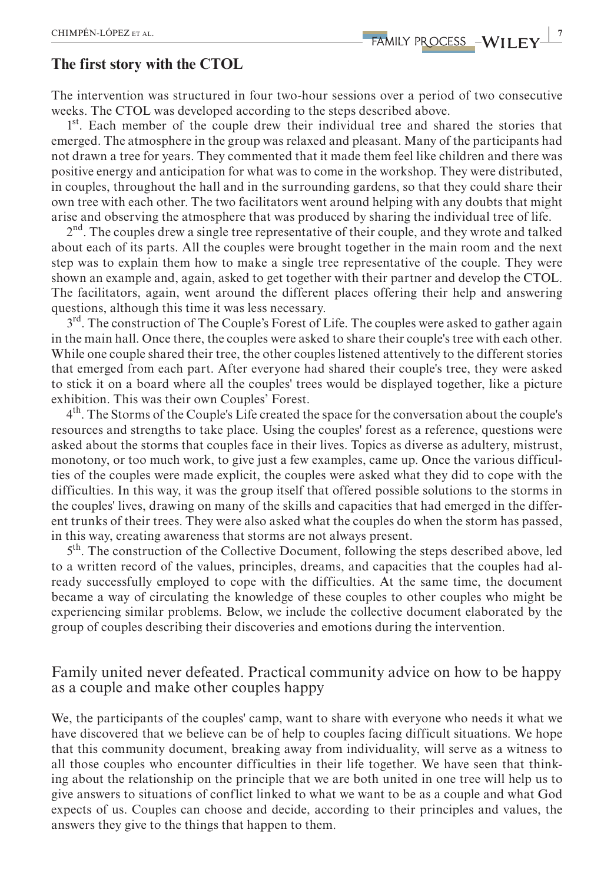#### **The first story with the CTOL**

The intervention was structured in four two-hour sessions over a period of two consecutive weeks. The CTOL was developed according to the steps described above.

 $1<sup>st</sup>$ . Each member of the couple drew their individual tree and shared the stories that emerged. The atmosphere in the group was relaxed and pleasant. Many of the participants had not drawn a tree for years. They commented that it made them feel like children and there was positive energy and anticipation for what was to come in the workshop. They were distributed, in couples, throughout the hall and in the surrounding gardens, so that they could share their own tree with each other. The two facilitators went around helping with any doubts that might arise and observing the atmosphere that was produced by sharing the individual tree of life.

 $2<sup>nd</sup>$ . The couples drew a single tree representative of their couple, and they wrote and talked about each of its parts. All the couples were brought together in the main room and the next step was to explain them how to make a single tree representative of the couple. They were shown an example and, again, asked to get together with their partner and develop the CTOL. The facilitators, again, went around the different places offering their help and answering questions, although this time it was less necessary.

3<sup>rd</sup>. The construction of The Couple's Forest of Life. The couples were asked to gather again in the main hall. Once there, the couples were asked to share their couple's tree with each other. While one couple shared their tree, the other couples listened attentively to the different stories that emerged from each part. After everyone had shared their couple's tree, they were asked to stick it on a board where all the couples' trees would be displayed together, like a picture exhibition. This was their own Couples' Forest.

 $4<sup>th</sup>$ . The Storms of the Couple's Life created the space for the conversation about the couple's resources and strengths to take place. Using the couples' forest as a reference, questions were asked about the storms that couples face in their lives. Topics as diverse as adultery, mistrust, monotony, or too much work, to give just a few examples, came up. Once the various difficulties of the couples were made explicit, the couples were asked what they did to cope with the difficulties. In this way, it was the group itself that offered possible solutions to the storms in the couples' lives, drawing on many of the skills and capacities that had emerged in the different trunks of their trees. They were also asked what the couples do when the storm has passed, in this way, creating awareness that storms are not always present.

 $5<sup>th</sup>$ . The construction of the Collective Document, following the steps described above, led to a written record of the values, principles, dreams, and capacities that the couples had already successfully employed to cope with the difficulties. At the same time, the document became a way of circulating the knowledge of these couples to other couples who might be experiencing similar problems. Below, we include the collective document elaborated by the group of couples describing their discoveries and emotions during the intervention.

## Family united never defeated. Practical community advice on how to be happy as a couple and make other couples happy

We, the participants of the couples' camp, want to share with everyone who needs it what we have discovered that we believe can be of help to couples facing difficult situations. We hope that this community document, breaking away from individuality, will serve as a witness to all those couples who encounter difficulties in their life together. We have seen that thinking about the relationship on the principle that we are both united in one tree will help us to give answers to situations of conflict linked to what we want to be as a couple and what God expects of us. Couples can choose and decide, according to their principles and values, the answers they give to the things that happen to them.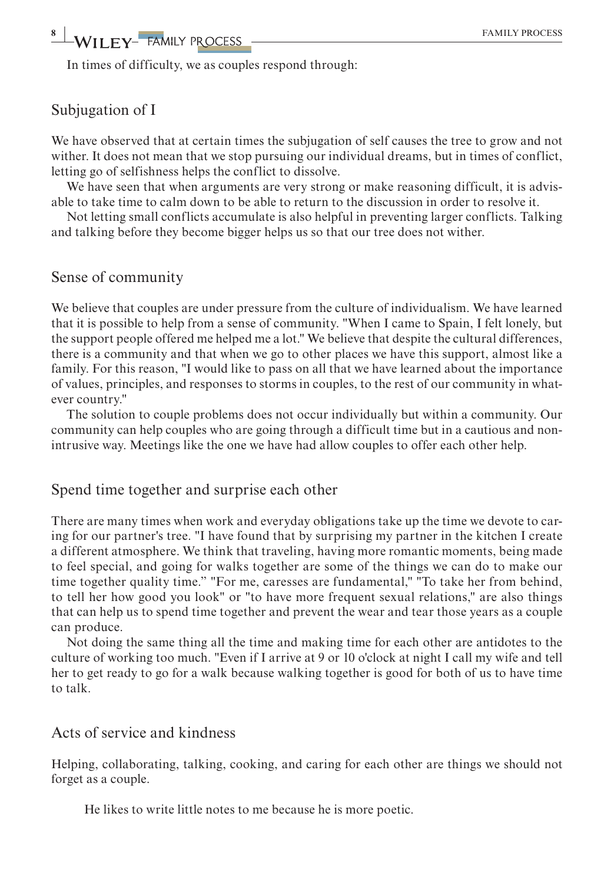In times of difficulty, we as couples respond through:

## Subjugation of I

We have observed that at certain times the subjugation of self causes the tree to grow and not wither. It does not mean that we stop pursuing our individual dreams, but in times of conflict, letting go of selfishness helps the conflict to dissolve.

We have seen that when arguments are very strong or make reasoning difficult, it is advisable to take time to calm down to be able to return to the discussion in order to resolve it.

Not letting small conflicts accumulate is also helpful in preventing larger conflicts. Talking and talking before they become bigger helps us so that our tree does not wither.

## Sense of community

We believe that couples are under pressure from the culture of individualism. We have learned that it is possible to help from a sense of community. "When I came to Spain, I felt lonely, but the support people offered me helped me a lot." We believe that despite the cultural differences, there is a community and that when we go to other places we have this support, almost like a family. For this reason, "I would like to pass on all that we have learned about the importance of values, principles, and responses to storms in couples, to the rest of our community in whatever country."

The solution to couple problems does not occur individually but within a community. Our community can help couples who are going through a difficult time but in a cautious and nonintrusive way. Meetings like the one we have had allow couples to offer each other help.

#### Spend time together and surprise each other

There are many times when work and everyday obligations take up the time we devote to caring for our partner's tree. "I have found that by surprising my partner in the kitchen I create a different atmosphere. We think that traveling, having more romantic moments, being made to feel special, and going for walks together are some of the things we can do to make our time together quality time." "For me, caresses are fundamental," "To take her from behind, to tell her how good you look" or "to have more frequent sexual relations," are also things that can help us to spend time together and prevent the wear and tear those years as a couple can produce.

Not doing the same thing all the time and making time for each other are antidotes to the culture of working too much. "Even if I arrive at 9 or 10 o'clock at night I call my wife and tell her to get ready to go for a walk because walking together is good for both of us to have time to talk.

## Acts of service and kindness

Helping, collaborating, talking, cooking, and caring for each other are things we should not forget as a couple.

He likes to write little notes to me because he is more poetic.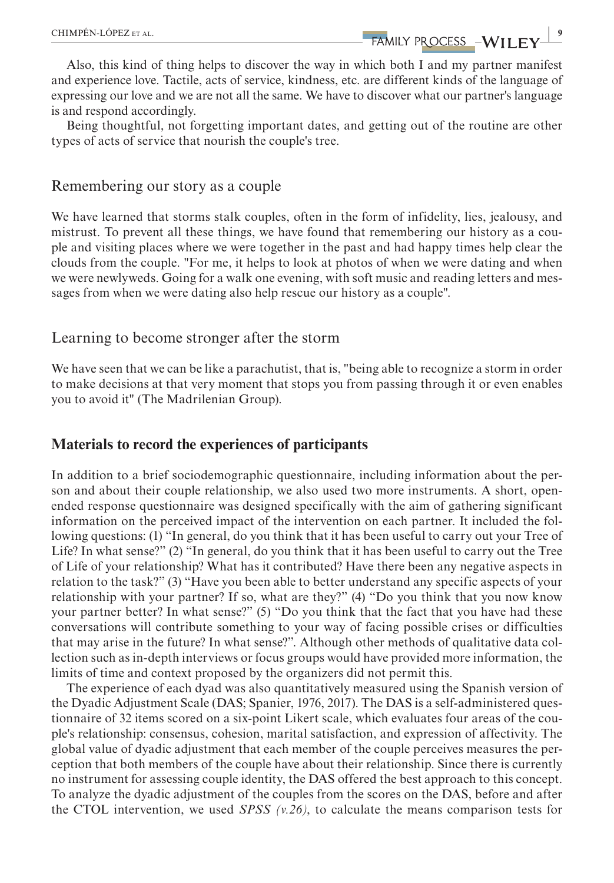**EXAMPÉN-LÓPEZ** ET AL. **99 ANILY PROCESS -WILEY** 

Also, this kind of thing helps to discover the way in which both I and my partner manifest and experience love. Tactile, acts of service, kindness, etc. are different kinds of the language of expressing our love and we are not all the same. We have to discover what our partner's language is and respond accordingly.

Being thoughtful, not forgetting important dates, and getting out of the routine are other types of acts of service that nourish the couple's tree.

#### Remembering our story as a couple

We have learned that storms stalk couples, often in the form of infidelity, lies, jealousy, and mistrust. To prevent all these things, we have found that remembering our history as a couple and visiting places where we were together in the past and had happy times help clear the clouds from the couple. "For me, it helps to look at photos of when we were dating and when we were newlyweds. Going for a walk one evening, with soft music and reading letters and messages from when we were dating also help rescue our history as a couple".

#### Learning to become stronger after the storm

We have seen that we can be like a parachutist, that is, "being able to recognize a storm in order to make decisions at that very moment that stops you from passing through it or even enables you to avoid it" (The Madrilenian Group).

#### **Materials to record the experiences of participants**

In addition to a brief sociodemographic questionnaire, including information about the person and about their couple relationship, we also used two more instruments. A short, openended response questionnaire was designed specifically with the aim of gathering significant information on the perceived impact of the intervention on each partner. It included the following questions: (1) "In general, do you think that it has been useful to carry out your Tree of Life? In what sense?" (2) "In general, do you think that it has been useful to carry out the Tree of Life of your relationship? What has it contributed? Have there been any negative aspects in relation to the task?" (3) "Have you been able to better understand any specific aspects of your relationship with your partner? If so, what are they?" (4) "Do you think that you now know your partner better? In what sense?" (5) "Do you think that the fact that you have had these conversations will contribute something to your way of facing possible crises or difficulties that may arise in the future? In what sense?". Although other methods of qualitative data collection such as in-depth interviews or focus groups would have provided more information, the limits of time and context proposed by the organizers did not permit this.

The experience of each dyad was also quantitatively measured using the Spanish version of the Dyadic Adjustment Scale (DAS; Spanier, 1976, 2017). The DAS is a self-administered questionnaire of 32 items scored on a six-point Likert scale, which evaluates four areas of the couple's relationship: consensus, cohesion, marital satisfaction, and expression of affectivity. The global value of dyadic adjustment that each member of the couple perceives measures the perception that both members of the couple have about their relationship. Since there is currently no instrument for assessing couple identity, the DAS offered the best approach to this concept. To analyze the dyadic adjustment of the couples from the scores on the DAS, before and after the CTOL intervention, we used *SPSS*  $(v.26)$ , to calculate the means comparison tests for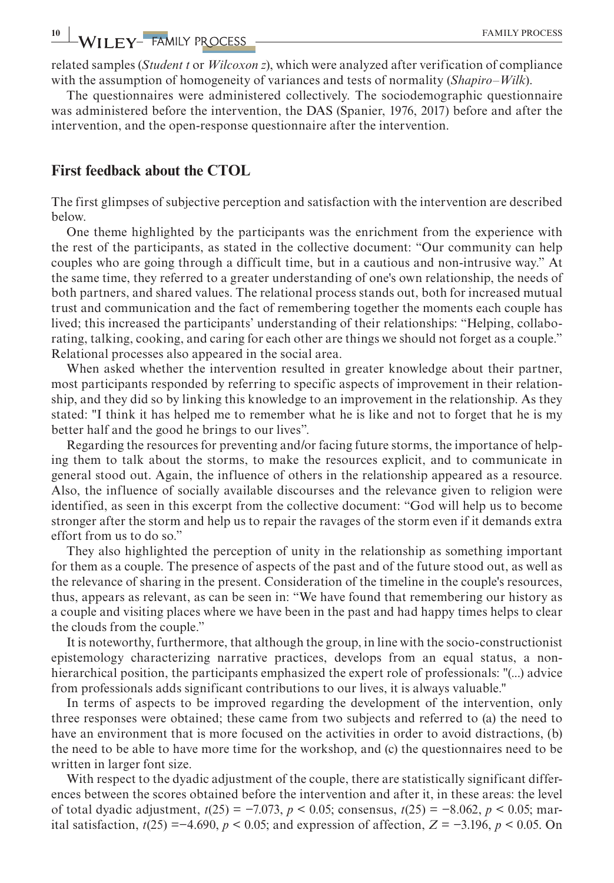related samples (*Student t* or *Wilcoxon z*), which were analyzed after verification of compliance with the assumption of homogeneity of variances and tests of normality (*Shapiro–Wilk*).

The questionnaires were administered collectively. The sociodemographic questionnaire was administered before the intervention, the DAS (Spanier, 1976, 2017) before and after the intervention, and the open-response questionnaire after the intervention.

#### **First feedback about the CTOL**

The first glimpses of subjective perception and satisfaction with the intervention are described below.

One theme highlighted by the participants was the enrichment from the experience with the rest of the participants, as stated in the collective document: "Our community can help couples who are going through a difficult time, but in a cautious and non-intrusive way." At the same time, they referred to a greater understanding of one's own relationship, the needs of both partners, and shared values. The relational process stands out, both for increased mutual trust and communication and the fact of remembering together the moments each couple has lived; this increased the participants' understanding of their relationships: "Helping, collaborating, talking, cooking, and caring for each other are things we should not forget as a couple." Relational processes also appeared in the social area.

When asked whether the intervention resulted in greater knowledge about their partner, most participants responded by referring to specific aspects of improvement in their relationship, and they did so by linking this knowledge to an improvement in the relationship. As they stated: "I think it has helped me to remember what he is like and not to forget that he is my better half and the good he brings to our lives".

Regarding the resources for preventing and/or facing future storms, the importance of helping them to talk about the storms, to make the resources explicit, and to communicate in general stood out. Again, the influence of others in the relationship appeared as a resource. Also, the influence of socially available discourses and the relevance given to religion were identified, as seen in this excerpt from the collective document: "God will help us to become stronger after the storm and help us to repair the ravages of the storm even if it demands extra effort from us to do so."

They also highlighted the perception of unity in the relationship as something important for them as a couple. The presence of aspects of the past and of the future stood out, as well as the relevance of sharing in the present. Consideration of the timeline in the couple's resources, thus, appears as relevant, as can be seen in: "We have found that remembering our history as a couple and visiting places where we have been in the past and had happy times helps to clear the clouds from the couple."

It is noteworthy, furthermore, that although the group, in line with the socio-constructionist epistemology characterizing narrative practices, develops from an equal status, a nonhierarchical position, the participants emphasized the expert role of professionals: "(...) advice from professionals adds significant contributions to our lives, it is always valuable."

In terms of aspects to be improved regarding the development of the intervention, only three responses were obtained; these came from two subjects and referred to (a) the need to have an environment that is more focused on the activities in order to avoid distractions, (b) the need to be able to have more time for the workshop, and (c) the questionnaires need to be written in larger font size.

With respect to the dyadic adjustment of the couple, there are statistically significant differences between the scores obtained before the intervention and after it, in these areas: the level of total dyadic adjustment, *t*(25) = −7.073, *p* < 0.05; consensus, *t*(25) = −8.062, *p* < 0.05; marital satisfaction,  $t(25) = -4.690$ ,  $p < 0.05$ ; and expression of affection,  $Z = -3.196$ ,  $p < 0.05$ . On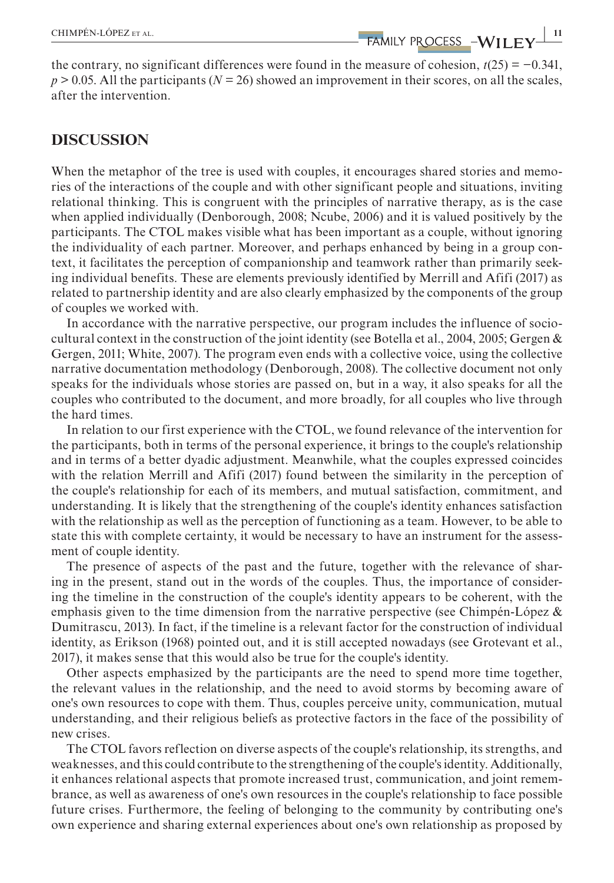the contrary, no significant differences were found in the measure of cohesion, *t*(25) = −0.341, *p* > 0.05. All the participants (*N =* 26) showed an improvement in their scores, on all the scales, after the intervention.

## **DISCUSSION**

When the metaphor of the tree is used with couples, it encourages shared stories and memories of the interactions of the couple and with other significant people and situations, inviting relational thinking. This is congruent with the principles of narrative therapy, as is the case when applied individually (Denborough, 2008; Ncube, 2006) and it is valued positively by the participants. The CTOL makes visible what has been important as a couple, without ignoring the individuality of each partner. Moreover, and perhaps enhanced by being in a group context, it facilitates the perception of companionship and teamwork rather than primarily seeking individual benefits. These are elements previously identified by Merrill and Afifi (2017) as related to partnership identity and are also clearly emphasized by the components of the group of couples we worked with.

In accordance with the narrative perspective, our program includes the influence of sociocultural context in the construction of the joint identity (see Botella et al., 2004, 2005; Gergen & Gergen, 2011; White, 2007). The program even ends with a collective voice, using the collective narrative documentation methodology (Denborough, 2008). The collective document not only speaks for the individuals whose stories are passed on, but in a way, it also speaks for all the couples who contributed to the document, and more broadly, for all couples who live through the hard times.

In relation to our first experience with the CTOL, we found relevance of the intervention for the participants, both in terms of the personal experience, it brings to the couple's relationship and in terms of a better dyadic adjustment. Meanwhile, what the couples expressed coincides with the relation Merrill and Afifi (2017) found between the similarity in the perception of the couple's relationship for each of its members, and mutual satisfaction, commitment, and understanding. It is likely that the strengthening of the couple's identity enhances satisfaction with the relationship as well as the perception of functioning as a team. However, to be able to state this with complete certainty, it would be necessary to have an instrument for the assessment of couple identity.

The presence of aspects of the past and the future, together with the relevance of sharing in the present, stand out in the words of the couples. Thus, the importance of considering the timeline in the construction of the couple's identity appears to be coherent, with the emphasis given to the time dimension from the narrative perspective (see Chimpén-López  $\&$ Dumitrascu, 2013). In fact, if the timeline is a relevant factor for the construction of individual identity, as Erikson (1968) pointed out, and it is still accepted nowadays (see Grotevant et al., 2017), it makes sense that this would also be true for the couple's identity.

Other aspects emphasized by the participants are the need to spend more time together, the relevant values in the relationship, and the need to avoid storms by becoming aware of one's own resources to cope with them. Thus, couples perceive unity, communication, mutual understanding, and their religious beliefs as protective factors in the face of the possibility of new crises.

The CTOL favors reflection on diverse aspects of the couple's relationship, its strengths, and weaknesses, and this could contribute to the strengthening of the couple's identity. Additionally, it enhances relational aspects that promote increased trust, communication, and joint remembrance, as well as awareness of one's own resources in the couple's relationship to face possible future crises. Furthermore, the feeling of belonging to the community by contributing one's own experience and sharing external experiences about one's own relationship as proposed by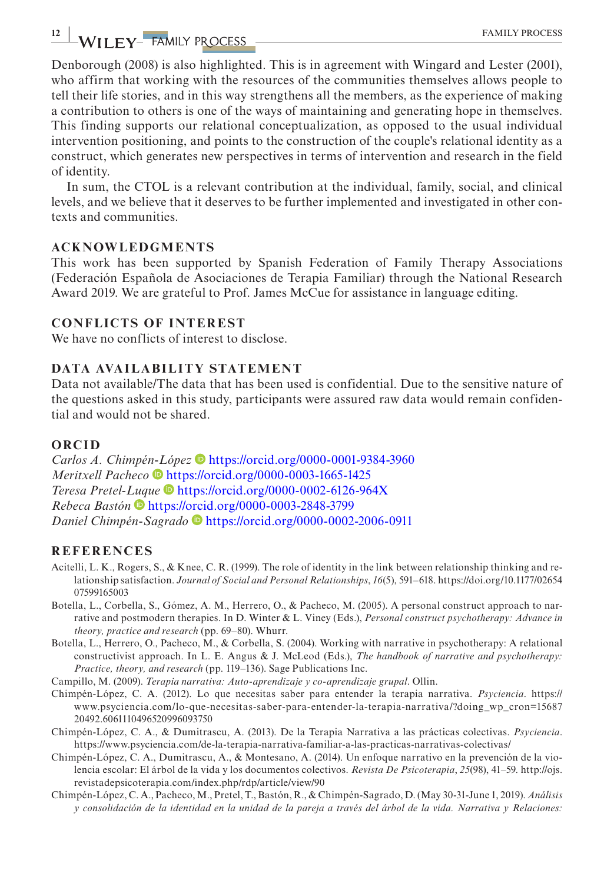Denborough (2008) is also highlighted. This is in agreement with Wingard and Lester (2001), who affirm that working with the resources of the communities themselves allows people to tell their life stories, and in this way strengthens all the members, as the experience of making a contribution to others is one of the ways of maintaining and generating hope in themselves. This finding supports our relational conceptualization, as opposed to the usual individual intervention positioning, and points to the construction of the couple's relational identity as a construct, which generates new perspectives in terms of intervention and research in the field of identity.

In sum, the CTOL is a relevant contribution at the individual, family, social, and clinical levels, and we believe that it deserves to be further implemented and investigated in other contexts and communities.

#### **ACKNOWLEDGMENTS**

This work has been supported by Spanish Federation of Family Therapy Associations (Federación Española de Asociaciones de Terapia Familiar) through the National Research Award 2019. We are grateful to Prof. James McCue for assistance in language editing.

#### **CONFLICTS OF INTEREST**

We have no conflicts of interest to disclose.

#### **DATA AVAILABILITY STATEMENT**

Data not available/The data that has been used is confidential. Due to the sensitive nature of the questions asked in this study, participants were assured raw data would remain confidential and would not be shared.

#### **ORCID**

*Carlos A. Chimpé[n-L](https://orcid.org/0000-0003-1665-1425)ópez* <https://orcid.org/0000-0001-9384-3960> *Meritxell Pacheco* • <https://orcid.org/0000-0003-1665-1425> *Teresa Pretel-[Luq](https://orcid.org/0000-0003-2848-3799)ue* <https://orcid.org/0000-0002-6126-964X> *Rebeca Bastón* <https://orcid.org/0000-0003-2848-3799> *Daniel Chimpén-Sagrado* <https://orcid.org/0000-0002-2006-0911>

#### **REFERENCES**

- Acitelli, L. K., Rogers, S., & Knee, C. R. (1999). The role of identity in the link between relationship thinking and relationship satisfaction. *Journal of Social and Personal Relationships*, *16*(5), 591–618. [https://doi.org/10.1177/02654](https://doi.org/10.1177/0265407599165003) [07599165003](https://doi.org/10.1177/0265407599165003)
- Botella, L., Corbella, S., Gómez, A. M., Herrero, O., & Pacheco, M. (2005). A personal construct approach to narrative and postmodern therapies. In D. Winter & L. Viney (Eds.), *Personal construct psychotherapy: Advance in theory, practice and research* (pp. 69–80). Whurr.
- Botella, L., Herrero, O., Pacheco, M., & Corbella, S. (2004). Working with narrative in psychotherapy: A relational constructivist approach. In L. E. Angus & J. McLeod (Eds.), *The handbook of narrative and psychotherapy: Practice, theory, and research* (pp. 119–136). Sage Publications Inc.
- Campillo, M. (2009). *Terapia narrativa: Auto-aprendizaje y co-aprendizaje grupal*. Ollin.
- Chimpén-López, C. A. (2012). Lo que necesitas saber para entender la terapia narrativa. *Psyciencia*. [https://](https://www.psyciencia.com/lo-que-necesitas-saber-para-entender-la-terapia-narrativa/?doing_wp_cron=1568720492.6061110496520996093750) [www.psyciencia.com/lo-que-necesitas-saber-para-entender-la-terapia-narrativa/?doing\\_wp\\_cron=15687](https://www.psyciencia.com/lo-que-necesitas-saber-para-entender-la-terapia-narrativa/?doing_wp_cron=1568720492.6061110496520996093750) [20492.6061110496520996093750](https://www.psyciencia.com/lo-que-necesitas-saber-para-entender-la-terapia-narrativa/?doing_wp_cron=1568720492.6061110496520996093750)
- Chimpén-López, C. A., & Dumitrascu, A. (2013). De la Terapia Narrativa a las prácticas colectivas. *Psyciencia*. <https://www.psyciencia.com/de-la-terapia-narrativa-familiar-a-las-practicas-narrativas-colectivas/>
- Chimpén-López, C. A., Dumitrascu, A., & Montesano, A. (2014). Un enfoque narrativo en la prevención de la violencia escolar: El árbol de la vida y los documentos colectivos. *Revista De Psicoterapia*, *25*(98), 41–59. [http://ojs.](http://ojs.revistadepsicoterapia.com/index.php/rdp/article/view/90) [revistadepsicoterapia.com/index.php/rdp/article/view/90](http://ojs.revistadepsicoterapia.com/index.php/rdp/article/view/90)
- Chimpén-López, C. A., Pacheco, M., Pretel, T., Bastón, R., & Chimpén-Sagrado, D. (May 30-31-June 1, 2019). *Análisis y consolidación de la identidad en la unidad de la pareja a través del árbol de la vida. Narrativa y Relaciones:*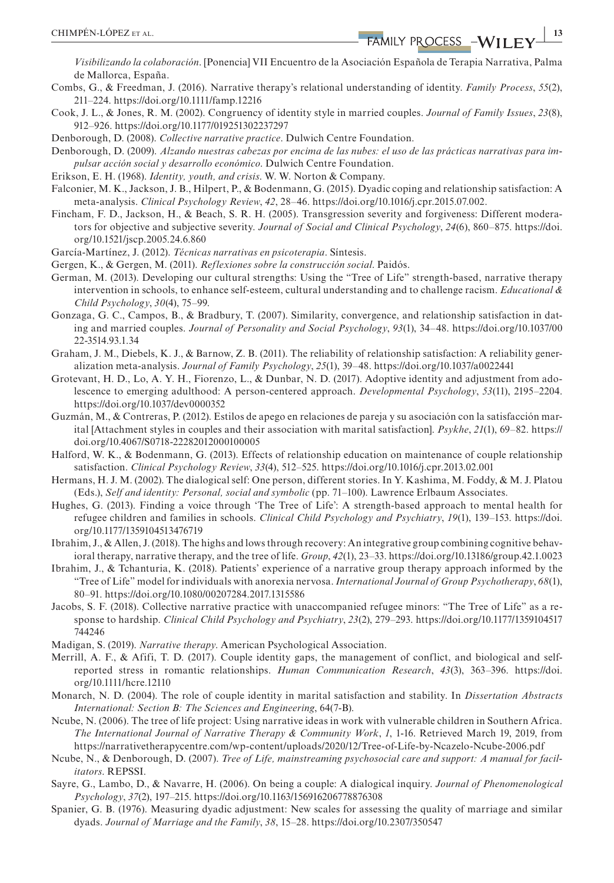*Visibilizando la colaboración*. [Ponencia] VII Encuentro de la Asociación Española de Terapia Narrativa, Palma de Mallorca, España.

- Combs, G., & Freedman, J. (2016). Narrative therapy's relational understanding of identity. *Family Process*, *55*(2), 211–224. <https://doi.org/10.1111/famp.12216>
- Cook, J. L., & Jones, R. M. (2002). Congruency of identity style in married couples. *Journal of Family Issues*, *23*(8), 912–926. <https://doi.org/10.1177/019251302237297>

Denborough, D. (2008). *Collective narrative practice*. Dulwich Centre Foundation.

Denborough, D. (2009). *Alzando nuestras cabezas por encima de las nubes: el uso de las prácticas narrativas para impulsar acción social y desarrollo económico*. Dulwich Centre Foundation.

- Erikson, E. H. (1968). *Identity, youth, and crisis*. W. W. Norton & Company.
- Falconier, M. K., Jackson, J. B., Hilpert, P., & Bodenmann, G. (2015). Dyadic coping and relationship satisfaction: A meta-analysis. *Clinical Psychology Review*, *42*, 28–46. [https://doi.org/10.1016/j.cpr.2015.07.002.](https://doi.org/10.1016/j.cpr.2015.07.002)
- Fincham, F. D., Jackson, H., & Beach, S. R. H. (2005). Transgression severity and forgiveness: Different moderators for objective and subjective severity. *Journal of Social and Clinical Psychology*, *24*(6), 860–875. [https://doi.](https://doi.org/10.1521/jscp.2005.24.6.860) [org/10.1521/jscp.2005.24.6.860](https://doi.org/10.1521/jscp.2005.24.6.860)
- García-Martínez, J. (2012). *Técnicas narrativas en psicoterapia*. Síntesis.
- Gergen, K., & Gergen, M. (2011). *Reflexiones sobre la construcción social*. Paidós.
- German, M. (2013). Developing our cultural strengths: Using the "Tree of Life" strength-based, narrative therapy intervention in schools, to enhance self-esteem, cultural understanding and to challenge racism. *Educational & Child Psychology*, *30*(4), 75–99.
- Gonzaga, G. C., Campos, B., & Bradbury, T. (2007). Similarity, convergence, and relationship satisfaction in dating and married couples. *Journal of Personality and Social Psychology*, *93*(1), 34–48. [https://doi.org/10.1037/00](https://doi.org/10.1037/0022-3514.93.1.34) [22-3514.93.1.34](https://doi.org/10.1037/0022-3514.93.1.34)
- Graham, J. M., Diebels, K. J., & Barnow, Z. B. (2011). The reliability of relationship satisfaction: A reliability generalization meta-analysis. *Journal of Family Psychology*, *25*(1), 39–48.<https://doi.org/10.1037/a0022441>
- Grotevant, H. D., Lo, A. Y. H., Fiorenzo, L., & Dunbar, N. D. (2017). Adoptive identity and adjustment from adolescence to emerging adulthood: A person-centered approach. *Developmental Psychology*, *53*(11), 2195–2204. <https://doi.org/10.1037/dev0000352>
- Guzmán, M., & Contreras, P. (2012). Estilos de apego en relaciones de pareja y su asociación con la satisfacción marital [Attachment styles in couples and their association with marital satisfaction]. *Psykhe*, *21*(1), 69–82. [https://](https://doi.org/10.4067/S0718-22282012000100005) [doi.org/10.4067/S0718-22282012000100005](https://doi.org/10.4067/S0718-22282012000100005)
- Halford, W. K., & Bodenmann, G. (2013). Effects of relationship education on maintenance of couple relationship satisfaction. *Clinical Psychology Review*, *33*(4), 512–525.<https://doi.org/10.1016/j.cpr.2013.02.001>
- Hermans, H. J. M. (2002). The dialogical self: One person, different stories. In Y. Kashima, M. Foddy, & M. J. Platou (Eds.), *Self and identity: Personal, social and symbolic* (pp. 71–100). Lawrence Erlbaum Associates.
- Hughes, G. (2013). Finding a voice through 'The Tree of Life': A strength-based approach to mental health for refugee children and families in schools. *Clinical Child Psychology and Psychiatry*, *19*(1), 139–153. [https://doi.](https://doi.org/10.1177/1359104513476719) [org/10.1177/1359104513476719](https://doi.org/10.1177/1359104513476719)
- Ibrahim, J., & Allen, J. (2018). The highs and lows through recovery: An integrative group combining cognitive behavioral therapy, narrative therapy, and the tree of life. *Group*, *42*(1), 23–33.<https://doi.org/10.13186/group.42.1.0023>
- Ibrahim, J., & Tchanturia, K. (2018). Patients' experience of a narrative group therapy approach informed by the "Tree of Life" model for individuals with anorexia nervosa. *International Journal of Group Psychotherapy*, *68*(1), 80–91. <https://doi.org/10.1080/00207284.2017.1315586>
- Jacobs, S. F. (2018). Collective narrative practice with unaccompanied refugee minors: "The Tree of Life" as a response to hardship. *Clinical Child Psychology and Psychiatry*, *23*(2), 279–293. [https://doi.org/10.1177/1359104517](https://doi.org/10.1177/1359104517744246) [744246](https://doi.org/10.1177/1359104517744246)
- Madigan, S. (2019). *Narrative therapy*. American Psychological Association.
- Merrill, A. F., & Afifi, T. D. (2017). Couple identity gaps, the management of conflict, and biological and selfreported stress in romantic relationships. *Human Communication Research*, *43*(3), 363–396. [https://doi.](https://doi.org/10.1111/hcre.12110) [org/10.1111/hcre.12110](https://doi.org/10.1111/hcre.12110)
- Monarch, N. D. (2004). The role of couple identity in marital satisfaction and stability. In *Dissertation Abstracts International: Section B: The Sciences and Engineering*, 64(7-B).
- Ncube, N. (2006). The tree of life project: Using narrative ideas in work with vulnerable children in Southern Africa. *The International Journal of Narrative Therapy & Community Work*, *1*, 1-16. Retrieved March 19, 2019, from <https://narrativetherapycentre.com/wp-content/uploads/2020/12/Tree-of-Life-by-Ncazelo-Ncube-2006.pdf>
- Ncube, N., & Denborough, D. (2007). *Tree of Life, mainstreaming psychosocial care and support: A manual for facilitators*. REPSSI.
- Sayre, G., Lambo, D., & Navarre, H. (2006). On being a couple: A dialogical inquiry. *Journal of Phenomenological Psychology*, *37*(2), 197–215.<https://doi.org/10.1163/156916206778876308>
- Spanier, G. B. (1976). Measuring dyadic adjustment: New scales for assessing the quality of marriage and similar dyads. *Journal of Marriage and the Family*, *38*, 15–28.<https://doi.org/10.2307/350547>